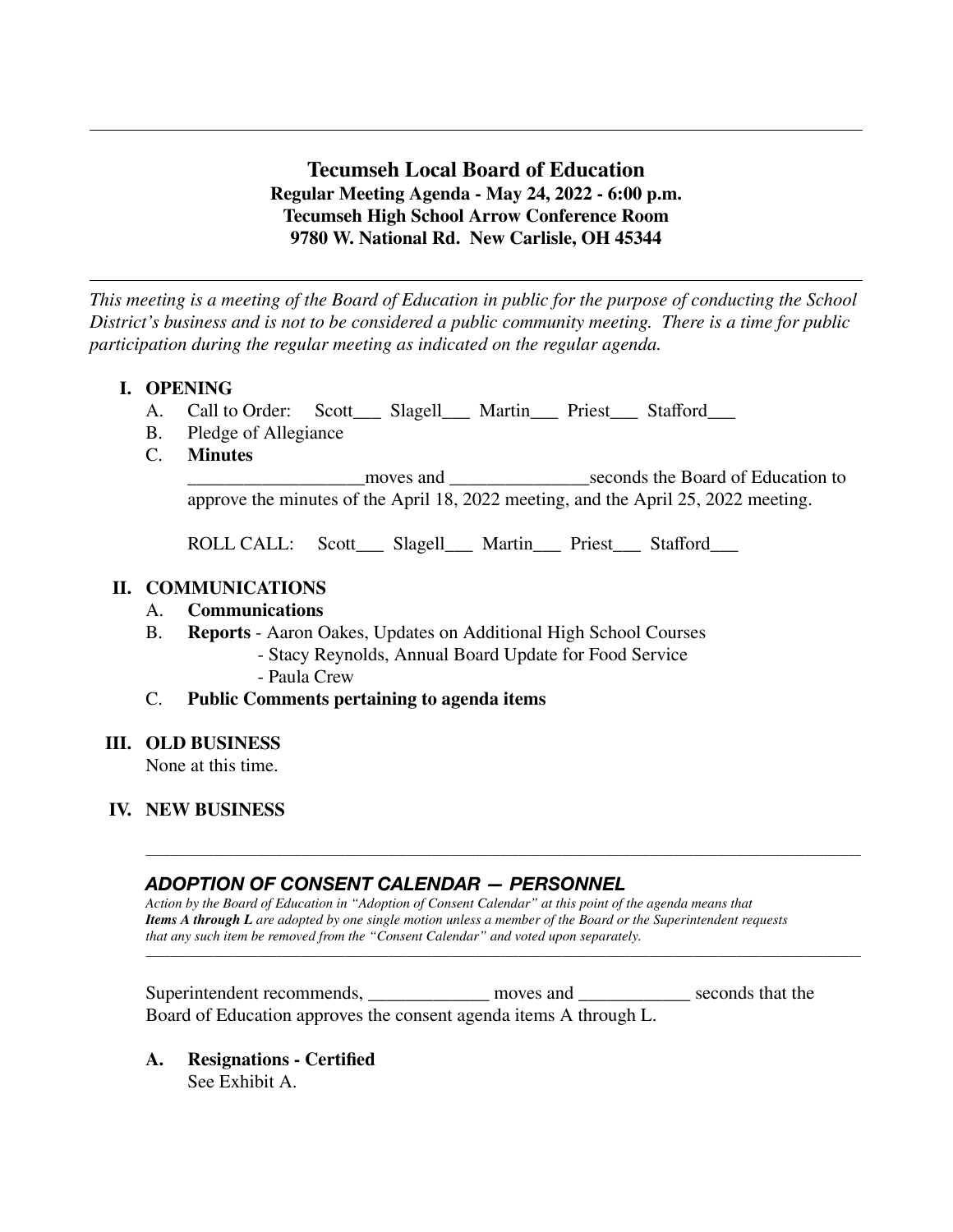# **Tecumseh Local Board of Education Regular Meeting Agenda - May 24, 2022 - 6:00 p.m. Tecumseh High School Arrow Conference Room 9780 W. National Rd. New Carlisle, OH 45344**

*This meeting is a meeting of the Board of Education in public for the purpose of conducting the School District's business and is not to be considered a public community meeting. There is a time for public participation during the regular meeting as indicated on the regular agenda.*

# **I. OPENING**

- A. Call to Order: Scott\_\_\_ Slagell\_\_\_ Martin\_\_\_ Priest\_\_\_ Stafford\_\_\_
- B. Pledge of Allegiance<br>C. **Minutes**
- **Minutes**

\_\_\_\_\_\_\_\_\_\_\_\_\_\_\_\_\_\_\_moves and \_\_\_\_\_\_\_\_\_\_\_\_\_\_\_seconds the Board of Education to approve the minutes of the April 18, 2022 meeting, and the April 25, 2022 meeting.

ROLL CALL: Scott\_\_\_ Slagell\_\_\_ Martin\_\_\_ Priest\_\_\_ Stafford\_\_\_

## **II. COMMUNICATIONS**

## A. **Communications**

- B. **Reports** Aaron Oakes, Updates on Additional High School Courses
	- Stacy Reynolds, Annual Board Update for Food Service - Paula Crew

## C. **Public Comments pertaining to agenda items**

#### **III. OLD BUSINESS**

None at this time.

# **IV. NEW BUSINESS**

# *ADOPTION OF CONSENT CALENDAR — PERSONNEL*

*Action by the Board of Education in "Adoption of Consent Calendar" at this point of the agenda means that Items A through L are adopted by one single motion unless a member of the Board or the Superintendent requests that any such item be removed from the "Consent Calendar" and voted upon separately.*

\_\_\_\_\_\_\_\_\_\_\_\_\_\_\_\_\_\_\_\_\_\_\_\_\_\_\_\_\_\_\_\_\_\_\_\_\_\_\_\_\_\_\_\_\_\_\_\_\_\_\_\_\_\_\_\_\_\_\_\_\_\_\_\_\_\_\_\_\_\_\_\_\_\_\_\_\_\_\_\_\_\_\_\_\_\_\_\_\_\_\_\_\_\_\_\_\_\_\_\_\_\_\_\_\_\_\_\_\_\_\_\_\_\_\_

\_\_\_\_\_\_\_\_\_\_\_\_\_\_\_\_\_\_\_\_\_\_\_\_\_\_\_\_\_\_\_\_\_\_\_\_\_\_\_\_\_\_\_\_\_\_\_\_\_\_\_\_\_\_\_\_\_\_\_\_\_\_\_\_\_\_\_\_\_\_\_\_\_\_\_\_\_\_\_\_\_\_\_\_\_\_\_\_\_\_\_\_\_\_\_\_\_\_\_\_\_\_\_\_\_\_\_\_\_\_\_\_\_\_\_

| Superintendent recommends, | moves and                                                         | seconds that the |
|----------------------------|-------------------------------------------------------------------|------------------|
|                            | Board of Education approves the consent agenda items A through L. |                  |

**A. Resignations - Certified** See Exhibit A.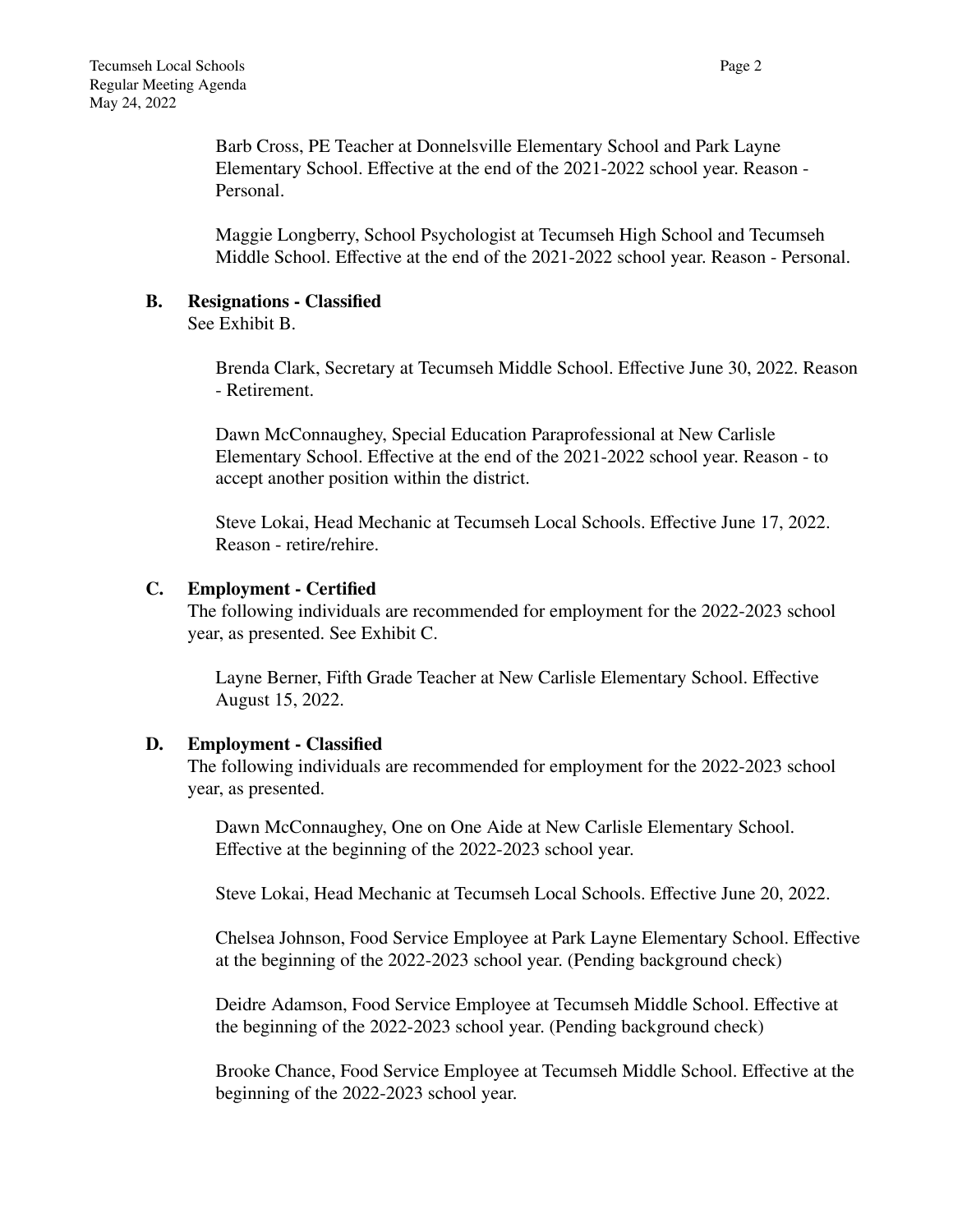Barb Cross, PE Teacher at Donnelsville Elementary School and Park Layne Elementary School. Effective at the end of the 2021-2022 school year. Reason - Personal.

Maggie Longberry, School Psychologist at Tecumseh High School and Tecumseh Middle School. Effective at the end of the 2021-2022 school year. Reason - Personal.

## **B. Resignations - Classified**

See Exhibit B.

Brenda Clark, Secretary at Tecumseh Middle School. Effective June 30, 2022. Reason - Retirement.

Dawn McConnaughey, Special Education Paraprofessional at New Carlisle Elementary School. Effective at the end of the 2021-2022 school year. Reason - to accept another position within the district.

Steve Lokai, Head Mechanic at Tecumseh Local Schools. Effective June 17, 2022. Reason - retire/rehire.

## **C. Employment - Certified**

The following individuals are recommended for employment for the 2022-2023 school year, as presented. See Exhibit C.

Layne Berner, Fifth Grade Teacher at New Carlisle Elementary School. Effective August 15, 2022.

## **D. Employment - Classified**

The following individuals are recommended for employment for the 2022-2023 school year, as presented.

Dawn McConnaughey, One on One Aide at New Carlisle Elementary School. Effective at the beginning of the 2022-2023 school year.

Steve Lokai, Head Mechanic at Tecumseh Local Schools. Effective June 20, 2022.

Chelsea Johnson, Food Service Employee at Park Layne Elementary School. Effective at the beginning of the 2022-2023 school year. (Pending background check)

Deidre Adamson, Food Service Employee at Tecumseh Middle School. Effective at the beginning of the 2022-2023 school year. (Pending background check)

Brooke Chance, Food Service Employee at Tecumseh Middle School. Effective at the beginning of the 2022-2023 school year.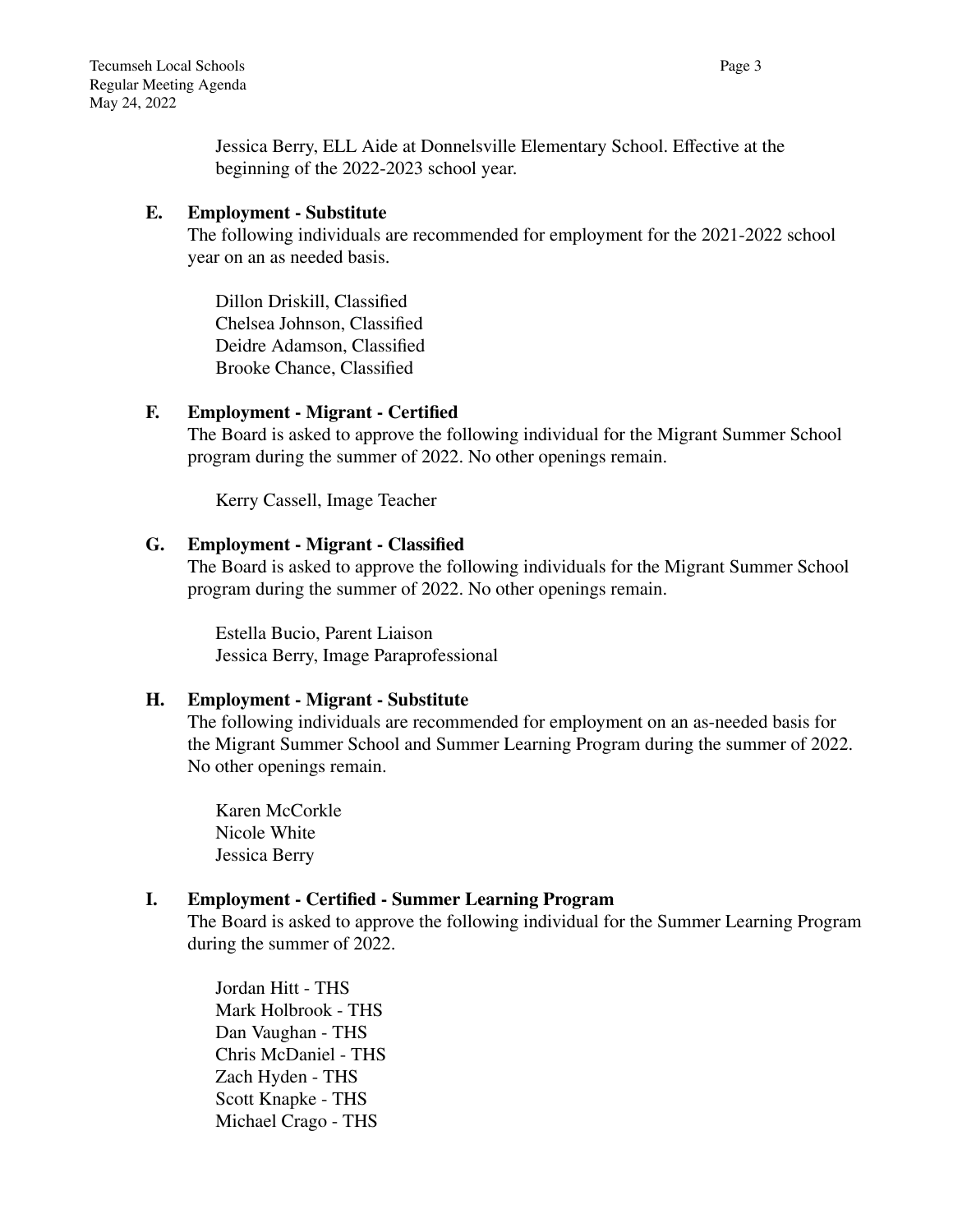Jessica Berry, ELL Aide at Donnelsville Elementary School. Effective at the beginning of the 2022-2023 school year.

## **E. Employment - Substitute**

The following individuals are recommended for employment for the 2021-2022 school year on an as needed basis.

Dillon Driskill, Classified Chelsea Johnson, Classified Deidre Adamson, Classified Brooke Chance, Classified

## **F. Employment - Migrant - Certified**

The Board is asked to approve the following individual for the Migrant Summer School program during the summer of 2022. No other openings remain.

Kerry Cassell, Image Teacher

## **G. Employment - Migrant - Classified**

The Board is asked to approve the following individuals for the Migrant Summer School program during the summer of 2022. No other openings remain.

Estella Bucio, Parent Liaison Jessica Berry, Image Paraprofessional

# **H. Employment - Migrant - Substitute**

The following individuals are recommended for employment on an as-needed basis for the Migrant Summer School and Summer Learning Program during the summer of 2022. No other openings remain.

Karen McCorkle Nicole White Jessica Berry

# **I. Employment - Certified - Summer Learning Program**

The Board is asked to approve the following individual for the Summer Learning Program during the summer of 2022.

Jordan Hitt - THS Mark Holbrook - THS Dan Vaughan - THS Chris McDaniel - THS Zach Hyden - THS Scott Knapke - THS Michael Crago - THS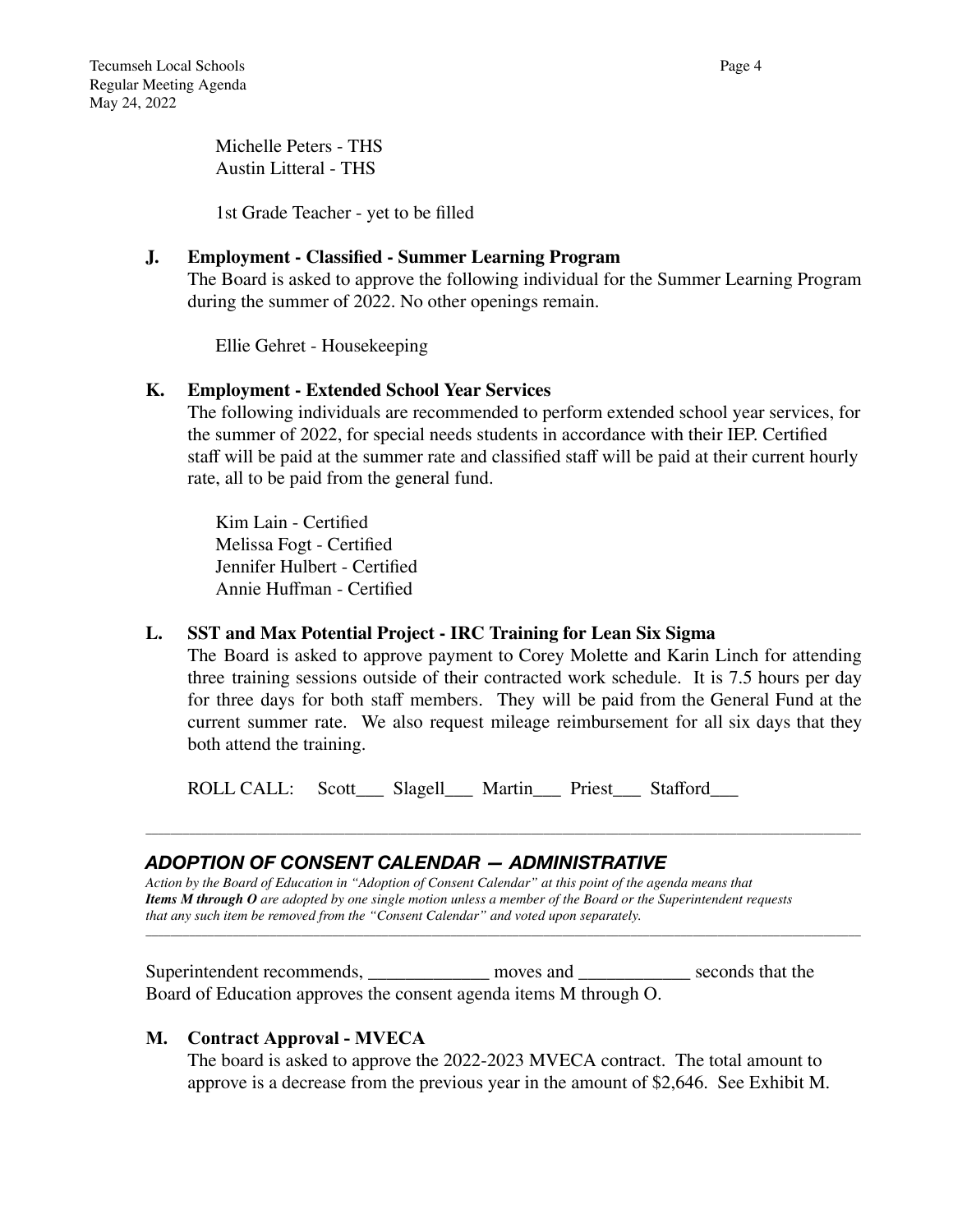Michelle Peters - THS Austin Litteral - THS

1st Grade Teacher - yet to be filled

## **J. Employment - Classified - Summer Learning Program**

The Board is asked to approve the following individual for the Summer Learning Program during the summer of 2022. No other openings remain.

Ellie Gehret - Housekeeping

## **K. Employment - Extended School Year Services**

The following individuals are recommended to perform extended school year services, for the summer of 2022, for special needs students in accordance with their IEP. Certified staff will be paid at the summer rate and classified staff will be paid at their current hourly rate, all to be paid from the general fund.

Kim Lain - Certified Melissa Fogt - Certified Jennifer Hulbert - Certified Annie Huffman - Certified

### **L. SST and Max Potential Project - IRC Training for Lean Six Sigma**

The Board is asked to approve payment to Corey Molette and Karin Linch for attending three training sessions outside of their contracted work schedule. It is 7.5 hours per day for three days for both staff members. They will be paid from the General Fund at the current summer rate. We also request mileage reimbursement for all six days that they both attend the training.

\_\_\_\_\_\_\_\_\_\_\_\_\_\_\_\_\_\_\_\_\_\_\_\_\_\_\_\_\_\_\_\_\_\_\_\_\_\_\_\_\_\_\_\_\_\_\_\_\_\_\_\_\_\_\_\_\_\_\_\_\_\_\_\_\_\_\_\_\_\_\_\_\_\_\_\_\_\_\_\_\_\_\_\_\_\_\_\_\_\_\_\_\_\_\_\_\_\_\_\_\_\_\_\_\_\_\_\_\_\_\_\_\_\_\_

\_\_\_\_\_\_\_\_\_\_\_\_\_\_\_\_\_\_\_\_\_\_\_\_\_\_\_\_\_\_\_\_\_\_\_\_\_\_\_\_\_\_\_\_\_\_\_\_\_\_\_\_\_\_\_\_\_\_\_\_\_\_\_\_\_\_\_\_\_\_\_\_\_\_\_\_\_\_\_\_\_\_\_\_\_\_\_\_\_\_\_\_\_\_\_\_\_\_\_\_\_\_\_\_\_\_\_\_\_\_\_\_\_\_\_

ROLL CALL: Scott Slagell Martin Priest Stafford

# *ADOPTION OF CONSENT CALENDAR — ADMINISTRATIVE*

*Action by the Board of Education in "Adoption of Consent Calendar" at this point of the agenda means that Items M through O are adopted by one single motion unless a member of the Board or the Superintendent requests that any such item be removed from the "Consent Calendar" and voted upon separately.*

Superintendent recommends, \_\_\_\_\_\_\_\_\_\_\_\_\_\_ moves and \_\_\_\_\_\_\_\_\_\_\_\_\_\_ seconds that the Board of Education approves the consent agenda items M through O.

## **M. Contract Approval - MVECA**

The board is asked to approve the 2022-2023 MVECA contract. The total amount to approve is a decrease from the previous year in the amount of \$2,646. See Exhibit M.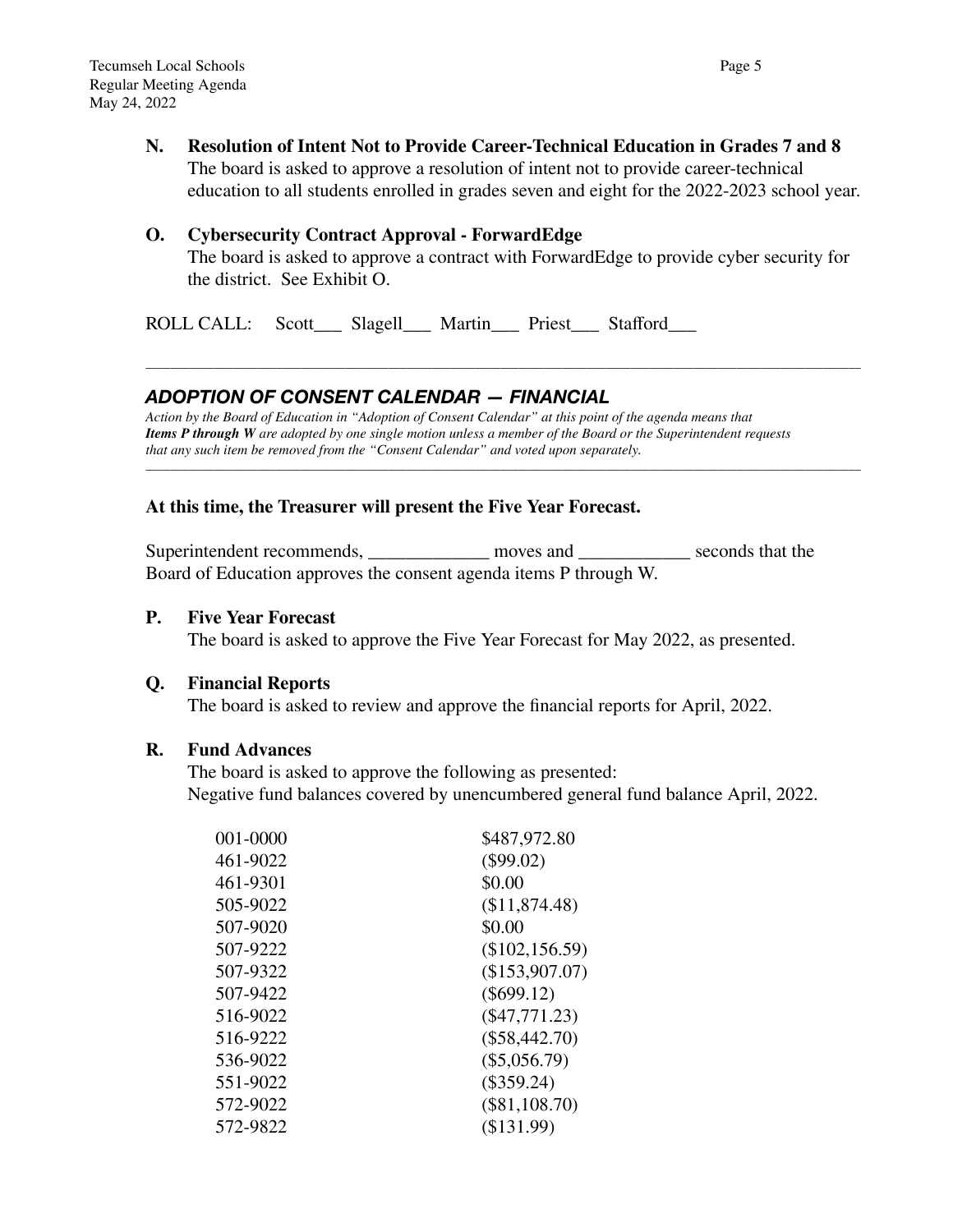**N. Resolution of Intent Not to Provide Career-Technical Education in Grades 7 and 8** The board is asked to approve a resolution of intent not to provide career-technical education to all students enrolled in grades seven and eight for the 2022-2023 school year.

#### **O. Cybersecurity Contract Approval - ForwardEdge**

The board is asked to approve a contract with ForwardEdge to provide cyber security for the district. See Exhibit O.

\_\_\_\_\_\_\_\_\_\_\_\_\_\_\_\_\_\_\_\_\_\_\_\_\_\_\_\_\_\_\_\_\_\_\_\_\_\_\_\_\_\_\_\_\_\_\_\_\_\_\_\_\_\_\_\_\_\_\_\_\_\_\_\_\_\_\_\_\_\_\_\_\_\_\_\_\_\_\_\_\_\_\_\_\_\_\_\_\_\_\_\_\_\_\_\_\_\_\_\_\_\_\_\_\_\_\_\_\_\_\_\_\_\_\_

\_\_\_\_\_\_\_\_\_\_\_\_\_\_\_\_\_\_\_\_\_\_\_\_\_\_\_\_\_\_\_\_\_\_\_\_\_\_\_\_\_\_\_\_\_\_\_\_\_\_\_\_\_\_\_\_\_\_\_\_\_\_\_\_\_\_\_\_\_\_\_\_\_\_\_\_\_\_\_\_\_\_\_\_\_\_\_\_\_\_\_\_\_\_\_\_\_\_\_\_\_\_\_\_\_\_\_\_\_\_\_\_\_\_\_

ROLL CALL: Scott\_\_\_ Slagell\_\_\_ Martin\_\_\_ Priest\_\_\_ Stafford\_\_\_

## *ADOPTION OF CONSENT CALENDAR — FINANCIAL*

*Action by the Board of Education in "Adoption of Consent Calendar" at this point of the agenda means that Items P through W are adopted by one single motion unless a member of the Board or the Superintendent requests that any such item be removed from the "Consent Calendar" and voted upon separately.*

#### **At this time, the Treasurer will present the Five Year Forecast.**

Superintendent recommends, moves and seconds that the Board of Education approves the consent agenda items P through W.

#### **P. Five Year Forecast**

The board is asked to approve the Five Year Forecast for May 2022, as presented.

#### **Q. Financial Reports**

The board is asked to review and approve the financial reports for April, 2022.

#### **R. Fund Advances**

The board is asked to approve the following as presented: Negative fund balances covered by unencumbered general fund balance April, 2022.

| 001-0000 | \$487,972.80      |
|----------|-------------------|
| 461-9022 | $(\$99.02)$       |
| 461-9301 | \$0.00            |
| 505-9022 | (\$11,874.48)     |
| 507-9020 | \$0.00            |
| 507-9222 | $(\$102, 156.59)$ |
| 507-9322 | (\$153,907.07)    |
| 507-9422 | $(\$699.12)$      |
| 516-9022 | $(\$47,771.23)$   |
| 516-9222 | $(\$58,442.70)$   |
| 536-9022 | $(\$5,056.79)$    |
| 551-9022 | $(\$359.24)$      |
| 572-9022 | $(\$81,108.70)$   |
| 572-9822 | (\$131.99)        |
|          |                   |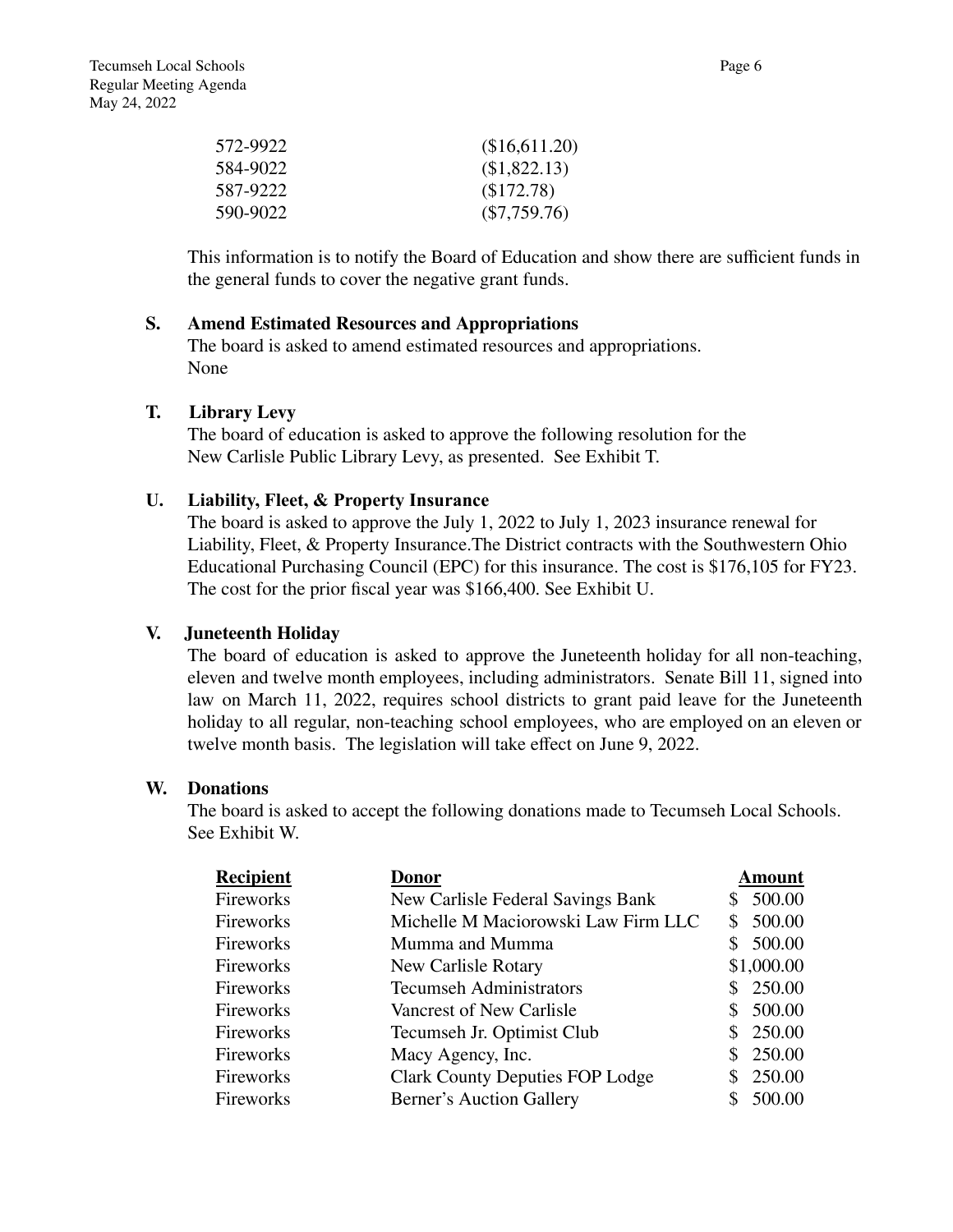| (\$16,611.20)  |
|----------------|
| (\$1,822.13)   |
| (\$172.78)     |
| $(\$7,759.76)$ |
|                |

This information is to notify the Board of Education and show there are sufficient funds in the general funds to cover the negative grant funds.

## **S. Amend Estimated Resources and Appropriations**

The board is asked to amend estimated resources and appropriations. None

## **T. Library Levy**

The board of education is asked to approve the following resolution for the New Carlisle Public Library Levy, as presented. See Exhibit T.

## **U. Liability, Fleet, & Property Insurance**

The board is asked to approve the July 1, 2022 to July 1, 2023 insurance renewal for Liability, Fleet, & Property Insurance.The District contracts with the Southwestern Ohio Educational Purchasing Council (EPC) for this insurance. The cost is \$176,105 for FY23. The cost for the prior fiscal year was \$166,400. See Exhibit U.

#### **V. Juneteenth Holiday**

The board of education is asked to approve the Juneteenth holiday for all non-teaching, eleven and twelve month employees, including administrators. Senate Bill 11, signed into law on March 11, 2022, requires school districts to grant paid leave for the Juneteenth holiday to all regular, non-teaching school employees, who are employed on an eleven or twelve month basis. The legislation will take effect on June 9, 2022.

### **W. Donations**

The board is asked to accept the following donations made to Tecumseh Local Schools. See Exhibit W.

| <b>Recipient</b> | <b>Donor</b>                           | <b>Amount</b> |
|------------------|----------------------------------------|---------------|
| Fireworks        | New Carlisle Federal Savings Bank      | 500.00        |
| Fireworks        | Michelle M Maciorowski Law Firm LLC    | 500.00        |
| Fireworks        | Mumma and Mumma                        | 500.00        |
| Fireworks        | New Carlisle Rotary                    | \$1,000.00    |
| Fireworks        | <b>Tecumseh Administrators</b>         | \$250.00      |
| Fireworks        | Vancrest of New Carlisle               | 500.00        |
| Fireworks        | Tecumseh Jr. Optimist Club             | 250.00        |
| Fireworks        | Macy Agency, Inc.                      | 250.00        |
| Fireworks        | <b>Clark County Deputies FOP Lodge</b> | 250.00        |
| Fireworks        | <b>Berner's Auction Gallery</b>        | 500.00        |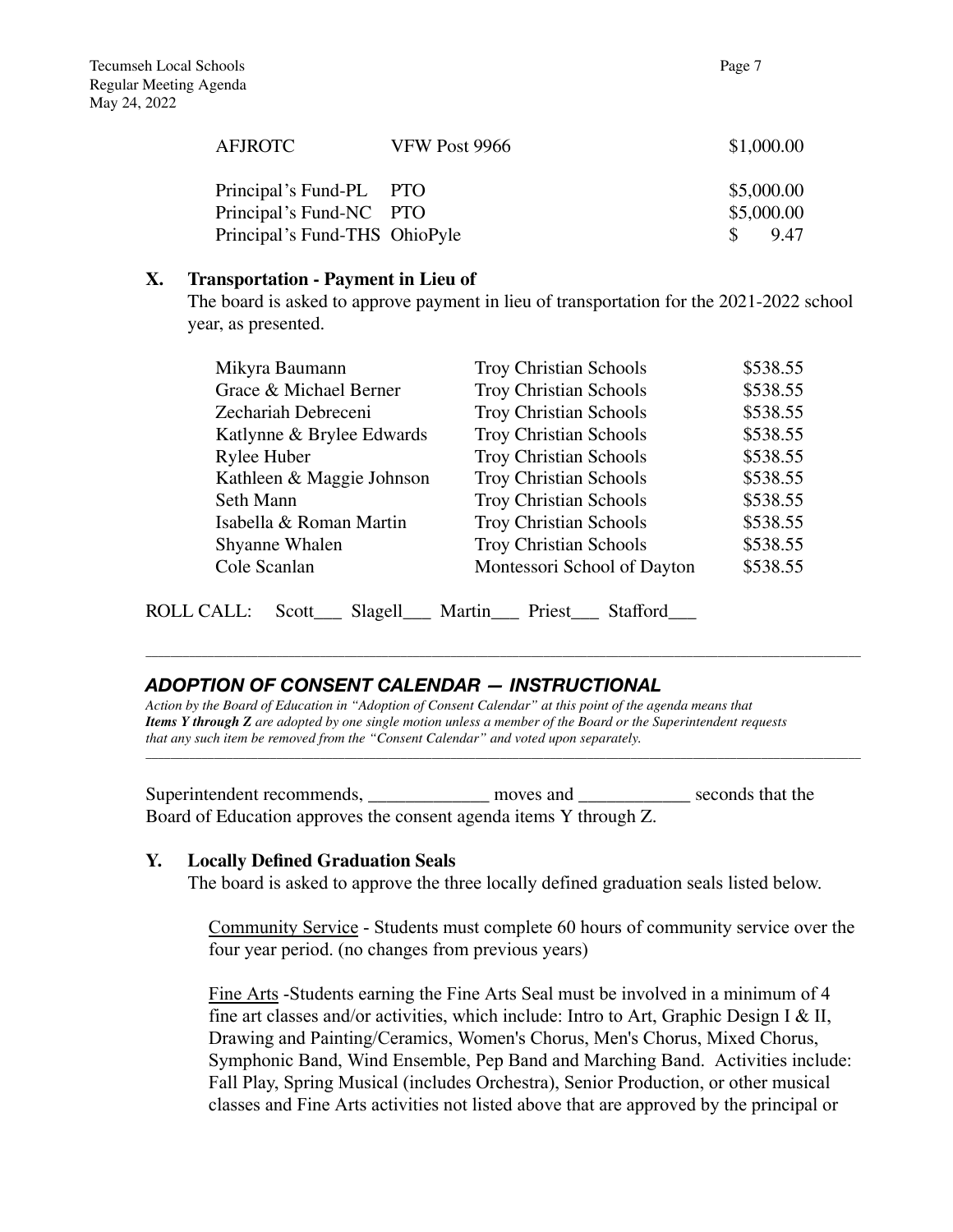| <b>AFJROTC</b>                | VFW Post 9966 | \$1,000.00            |
|-------------------------------|---------------|-----------------------|
| Principal's Fund-PL PTO       |               | \$5,000.00            |
| Principal's Fund-NC PTO       |               | \$5,000.00            |
| Principal's Fund-THS OhioPyle |               | 9.47<br>$\mathcal{S}$ |

## **X. Transportation - Payment in Lieu of**

The board is asked to approve payment in lieu of transportation for the 2021-2022 school year, as presented.

| Mikyra Baumann            | <b>Troy Christian Schools</b> | \$538.55 |
|---------------------------|-------------------------------|----------|
| Grace & Michael Berner    | <b>Troy Christian Schools</b> | \$538.55 |
| Zechariah Debreceni       | <b>Troy Christian Schools</b> | \$538.55 |
| Katlynne & Brylee Edwards | <b>Troy Christian Schools</b> | \$538.55 |
| Rylee Huber               | <b>Troy Christian Schools</b> | \$538.55 |
| Kathleen & Maggie Johnson | <b>Troy Christian Schools</b> | \$538.55 |
| Seth Mann                 | <b>Troy Christian Schools</b> | \$538.55 |
| Isabella & Roman Martin   | <b>Troy Christian Schools</b> | \$538.55 |
| Shyanne Whalen            | <b>Troy Christian Schools</b> | \$538.55 |
| Cole Scanlan              | Montessori School of Dayton   | \$538.55 |
|                           |                               |          |

\_\_\_\_\_\_\_\_\_\_\_\_\_\_\_\_\_\_\_\_\_\_\_\_\_\_\_\_\_\_\_\_\_\_\_\_\_\_\_\_\_\_\_\_\_\_\_\_\_\_\_\_\_\_\_\_\_\_\_\_\_\_\_\_\_\_\_\_\_\_\_\_\_\_\_\_\_\_\_\_\_\_\_\_\_\_\_\_\_\_\_\_\_\_\_\_\_\_\_\_\_\_\_\_\_\_\_\_\_\_\_\_\_\_\_

\_\_\_\_\_\_\_\_\_\_\_\_\_\_\_\_\_\_\_\_\_\_\_\_\_\_\_\_\_\_\_\_\_\_\_\_\_\_\_\_\_\_\_\_\_\_\_\_\_\_\_\_\_\_\_\_\_\_\_\_\_\_\_\_\_\_\_\_\_\_\_\_\_\_\_\_\_\_\_\_\_\_\_\_\_\_\_\_\_\_\_\_\_\_\_\_\_\_\_\_\_\_\_\_\_\_\_\_\_\_\_\_\_\_\_

ROLL CALL: Scott\_\_\_ Slagell\_\_\_ Martin\_\_\_ Priest\_\_\_ Stafford\_\_\_

# *ADOPTION OF CONSENT CALENDAR — INSTRUCTIONAL*

*Action by the Board of Education in "Adoption of Consent Calendar" at this point of the agenda means that Items Y through Z are adopted by one single motion unless a member of the Board or the Superintendent requests that any such item be removed from the "Consent Calendar" and voted upon separately.*

Superintendent recommends, \_\_\_\_\_\_\_\_\_\_\_\_\_\_ moves and \_\_\_\_\_\_\_\_\_\_\_\_\_ seconds that the Board of Education approves the consent agenda items Y through Z.

## **Y. Locally Defined Graduation Seals**

The board is asked to approve the three locally defined graduation seals listed below.

Community Service - Students must complete 60 hours of community service over the four year period. (no changes from previous years)

Fine Arts -Students earning the Fine Arts Seal must be involved in a minimum of 4 fine art classes and/or activities, which include: Intro to Art, Graphic Design I & II, Drawing and Painting/Ceramics, Women's Chorus, Men's Chorus, Mixed Chorus, Symphonic Band, Wind Ensemble, Pep Band and Marching Band. Activities include: Fall Play, Spring Musical (includes Orchestra), Senior Production, or other musical classes and Fine Arts activities not listed above that are approved by the principal or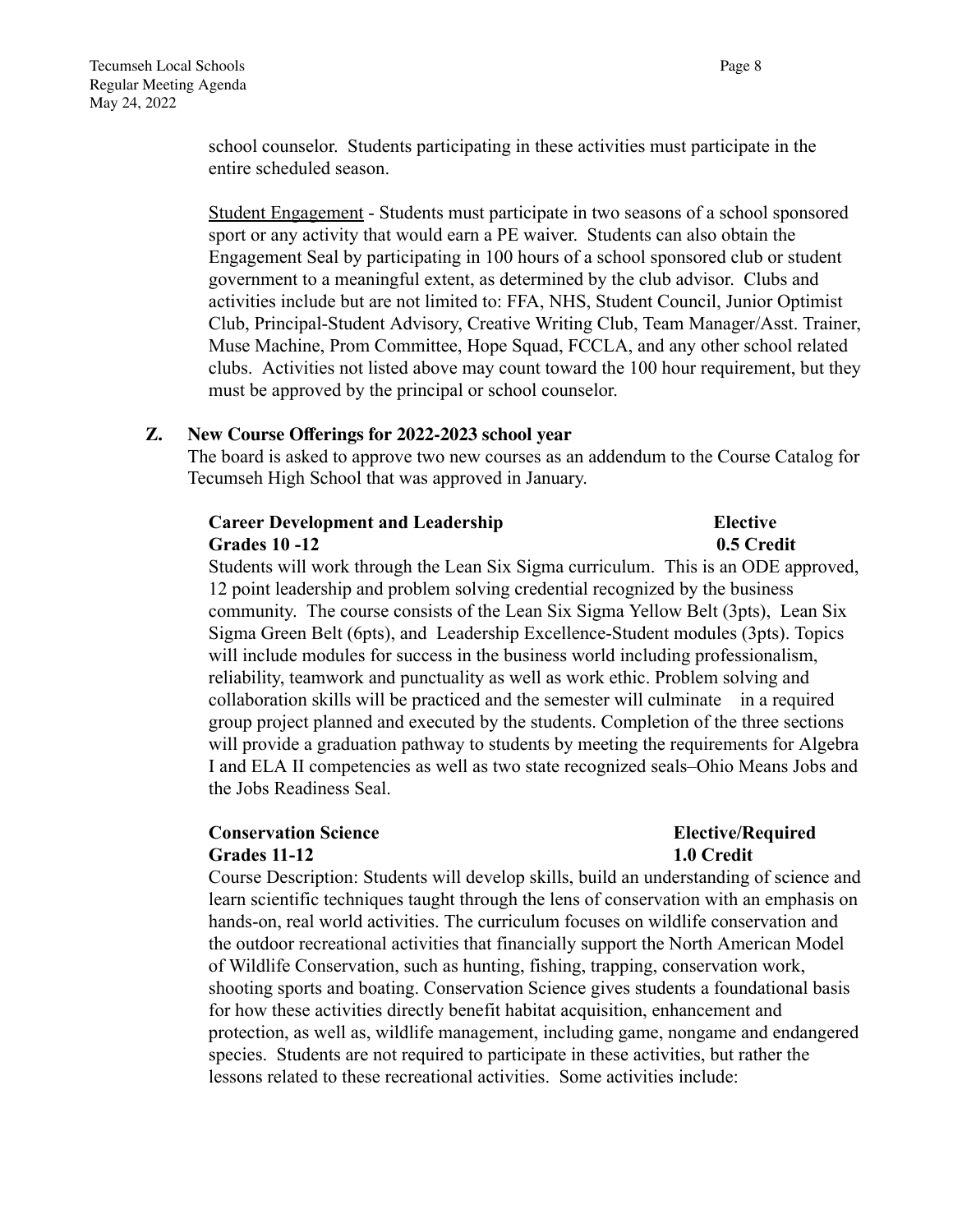school counselor. Students participating in these activities must participate in the entire scheduled season.

Student Engagement - Students must participate in two seasons of a school sponsored sport or any activity that would earn a PE waiver. Students can also obtain the Engagement Seal by participating in 100 hours of a school sponsored club or student government to a meaningful extent, as determined by the club advisor. Clubs and activities include but are not limited to: FFA, NHS, Student Council, Junior Optimist Club, Principal-Student Advisory, Creative Writing Club, Team Manager/Asst. Trainer, Muse Machine, Prom Committee, Hope Squad, FCCLA, and any other school related clubs. Activities not listed above may count toward the 100 hour requirement, but they must be approved by the principal or school counselor.

## **Z. New Course Offerings for 2022-2023 school year**

The board is asked to approve two new courses as an addendum to the Course Catalog for Tecumseh High School that was approved in January.

## **Career Development and Leadership Elective Grades 10 -12** 0.5 Credit

Students will work through the Lean Six Sigma curriculum. This is an ODE approved, 12 point leadership and problem solving credential recognized by the business community. The course consists of the Lean Six Sigma Yellow Belt (3pts), Lean Six Sigma Green Belt (6pts), and Leadership Excellence-Student modules (3pts). Topics will include modules for success in the business world including professionalism, reliability, teamwork and punctuality as well as work ethic. Problem solving and collaboration skills will be practiced and the semester will culminate in a required group project planned and executed by the students. Completion of the three sections will provide a graduation pathway to students by meeting the requirements for Algebra I and ELA II competencies as well as two state recognized seals–Ohio Means Jobs and the Jobs Readiness Seal.

## **Conservation Science Elective/Required Elective/Required Elective/Required Grades 11-12 1.0 Credit**

Course Description: Students will develop skills, build an understanding of science and learn scientific techniques taught through the lens of conservation with an emphasis on hands-on, real world activities. The curriculum focuses on wildlife conservation and the outdoor recreational activities that financially support the North American Model of Wildlife Conservation, such as hunting, fishing, trapping, conservation work, shooting sports and boating. Conservation Science gives students a foundational basis for how these activities directly benefit habitat acquisition, enhancement and protection, as well as, wildlife management, including game, nongame and endangered species. Students are not required to participate in these activities, but rather the lessons related to these recreational activities. Some activities include: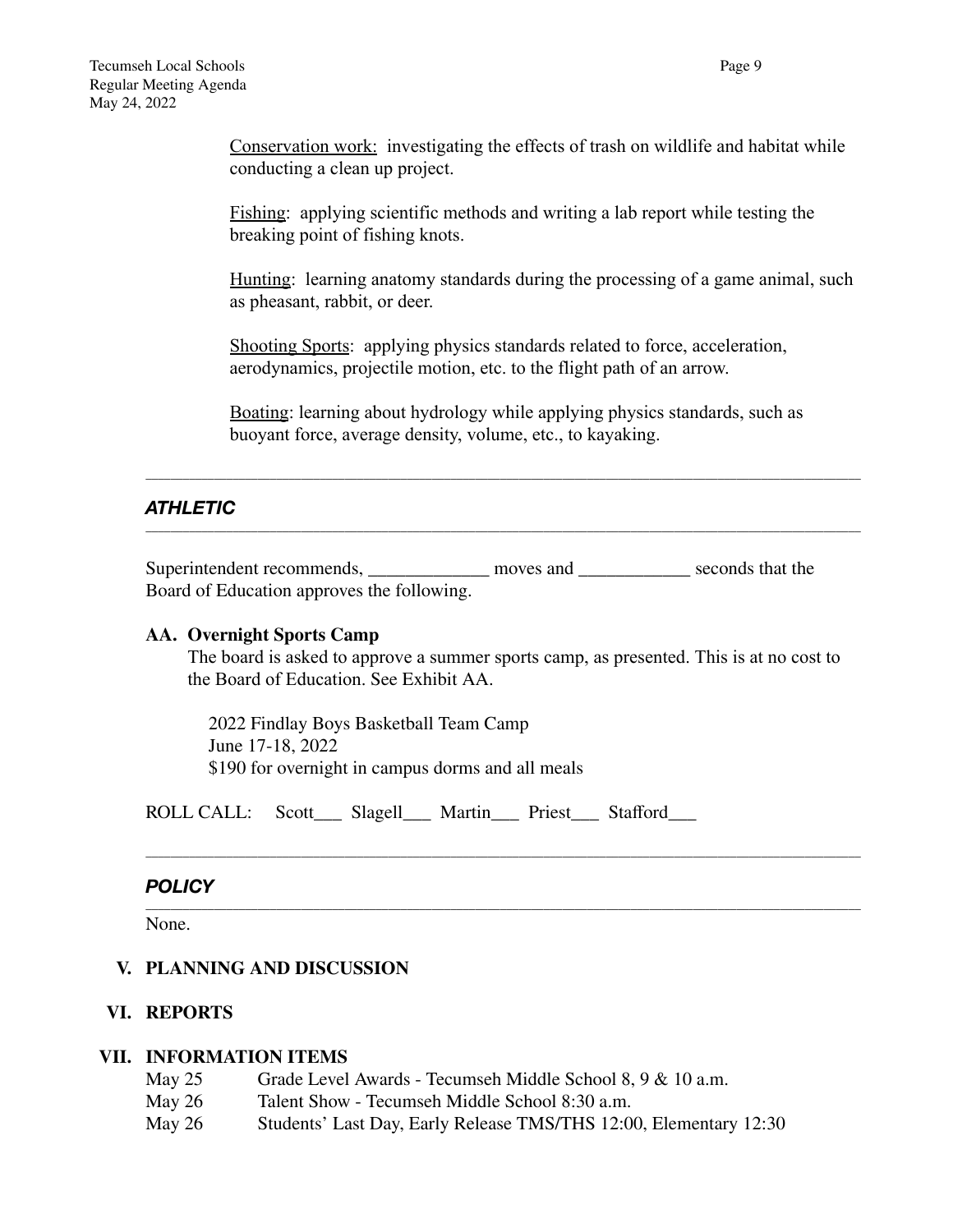Conservation work: investigating the effects of trash on wildlife and habitat while conducting a clean up project.

Fishing: applying scientific methods and writing a lab report while testing the breaking point of fishing knots.

Hunting: learning anatomy standards during the processing of a game animal, such as pheasant, rabbit, or deer.

Shooting Sports: applying physics standards related to force, acceleration, aerodynamics, projectile motion, etc. to the flight path of an arrow.

Boating: learning about hydrology while applying physics standards, such as buoyant force, average density, volume, etc., to kayaking.

\_\_\_\_\_\_\_\_\_\_\_\_\_\_\_\_\_\_\_\_\_\_\_\_\_\_\_\_\_\_\_\_\_\_\_\_\_\_\_\_\_\_\_\_\_\_\_\_\_\_\_\_\_\_\_\_\_\_\_\_\_\_\_\_\_\_\_\_\_\_\_\_\_\_\_\_\_\_\_\_\_\_\_\_\_\_\_\_\_\_\_\_\_\_\_\_\_\_\_\_\_\_\_\_\_\_\_\_\_\_\_\_\_\_\_

\_\_\_\_\_\_\_\_\_\_\_\_\_\_\_\_\_\_\_\_\_\_\_\_\_\_\_\_\_\_\_\_\_\_\_\_\_\_\_\_\_\_\_\_\_\_\_\_\_\_\_\_\_\_\_\_\_\_\_\_\_\_\_\_\_\_\_\_\_\_\_\_\_\_\_\_\_\_\_\_\_\_\_\_\_\_\_\_\_\_\_\_\_\_\_\_\_\_\_\_\_\_\_\_\_\_\_\_\_\_\_\_\_\_\_

# *ATHLETIC*

Superintendent recommends, moves and seconds that the Board of Education approves the following.

## **AA. Overnight Sports Camp**

The board is asked to approve a summer sports camp, as presented. This is at no cost to the Board of Education. See Exhibit AA.

\_\_\_\_\_\_\_\_\_\_\_\_\_\_\_\_\_\_\_\_\_\_\_\_\_\_\_\_\_\_\_\_\_\_\_\_\_\_\_\_\_\_\_\_\_\_\_\_\_\_\_\_\_\_\_\_\_\_\_\_\_\_\_\_\_\_\_\_\_\_\_\_\_\_\_\_\_\_\_\_\_\_\_\_\_\_\_\_\_\_\_\_\_\_\_\_\_\_\_\_\_\_\_\_\_\_\_\_\_\_\_\_\_\_\_

\_\_\_\_\_\_\_\_\_\_\_\_\_\_\_\_\_\_\_\_\_\_\_\_\_\_\_\_\_\_\_\_\_\_\_\_\_\_\_\_\_\_\_\_\_\_\_\_\_\_\_\_\_\_\_\_\_\_\_\_\_\_\_\_\_\_\_\_\_\_\_\_\_\_\_\_\_\_\_\_\_\_\_\_\_\_\_\_\_\_\_\_\_\_\_\_\_\_\_\_\_\_\_\_\_\_\_\_\_\_\_\_\_\_\_

2022 Findlay Boys Basketball Team Camp June 17-18, 2022 \$190 for overnight in campus dorms and all meals

ROLL CALL: Scott\_\_\_ Slagell\_\_\_ Martin\_\_\_ Priest\_\_\_ Stafford\_\_\_

## *POLICY*

None.

## **V. PLANNING AND DISCUSSION**

## **VI. REPORTS**

#### **VII. INFORMATION ITEMS**

- May 25 Grade Level Awards Tecumseh Middle School 8, 9 & 10 a.m.
- May 26 Talent Show Tecumseh Middle School 8:30 a.m.
- May 26 Students' Last Day, Early Release TMS/THS 12:00, Elementary 12:30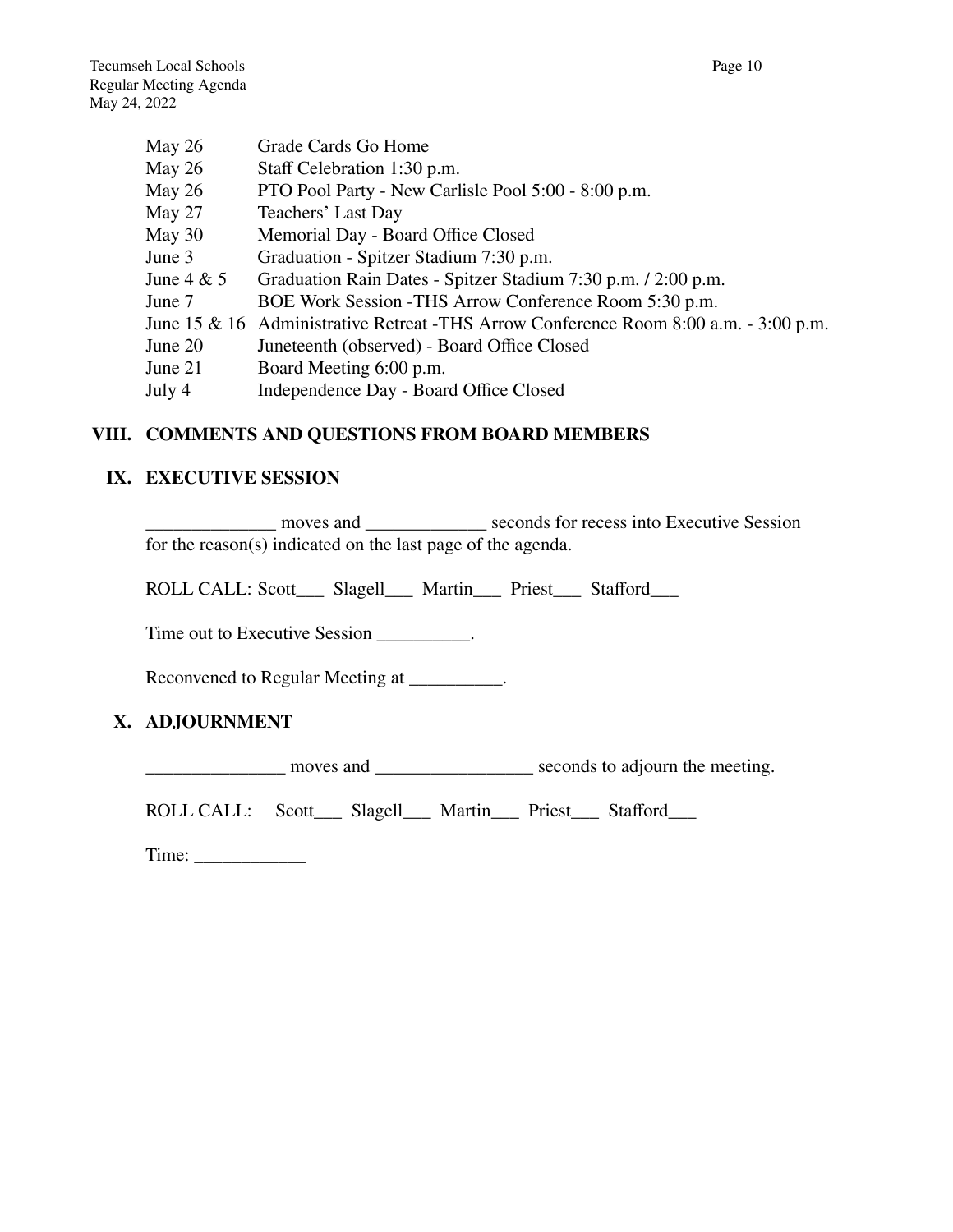| Grade Cards Go Home                                                                  |
|--------------------------------------------------------------------------------------|
| Staff Celebration 1:30 p.m.                                                          |
| PTO Pool Party - New Carlisle Pool 5:00 - 8:00 p.m.                                  |
| Teachers' Last Day                                                                   |
| Memorial Day - Board Office Closed                                                   |
| Graduation - Spitzer Stadium 7:30 p.m.                                               |
| Graduation Rain Dates - Spitzer Stadium 7:30 p.m. / 2:00 p.m.                        |
| BOE Work Session - THS Arrow Conference Room 5:30 p.m.                               |
| June 15 & 16 Administrative Retreat -THS Arrow Conference Room 8:00 a.m. - 3:00 p.m. |
| Juneteenth (observed) - Board Office Closed                                          |
| Board Meeting 6:00 p.m.                                                              |
| Independence Day - Board Office Closed                                               |
|                                                                                      |

## **VIII. COMMENTS AND QUESTIONS FROM BOARD MEMBERS**

## **IX. EXECUTIVE SESSION**

\_\_\_\_\_\_\_\_\_\_\_\_\_\_ moves and \_\_\_\_\_\_\_\_\_\_\_\_\_ seconds for recess into Executive Session for the reason(s) indicated on the last page of the agenda.

ROLL CALL: Scott\_\_\_ Slagell\_\_\_ Martin\_\_\_ Priest\_\_\_ Stafford\_\_\_

Time out to Executive Session \_\_\_\_\_\_\_\_\_\_.

Reconvened to Regular Meeting at \_\_\_\_\_\_\_\_\_.

## **X. ADJOURNMENT**

\_\_\_\_\_\_\_\_\_\_\_\_\_\_\_ moves and \_\_\_\_\_\_\_\_\_\_\_\_\_\_\_\_\_ seconds to adjourn the meeting.

ROLL CALL: Scott\_\_\_ Slagell\_\_\_ Martin\_\_\_ Priest\_\_\_ Stafford\_\_\_

Time: \_\_\_\_\_\_\_\_\_\_\_\_